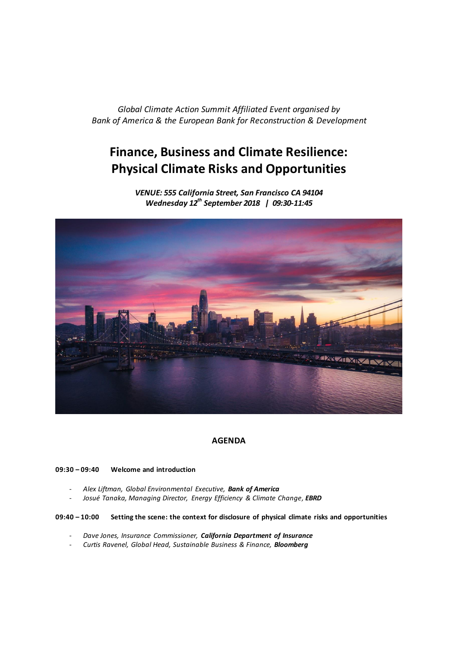*Global Climate Action Summit Affiliated Event organised by Bank of America & the European Bank for Reconstruction & Development*

# **Finance, Business and Climate Resilience: Physical Climate Risks and Opportunities**

*VENUE: 555 California Street, San Francisco CA 94104 Wednesday 12th September 2018 | 09:30-11:45*



## **AGENDA**

## **09:30 – 09:40 Welcome and introduction**

- *Alex Liftman, Global Environmental Executive, Bank of America*
- *Josué Tanaka, Managing Director, Energy Efficiency & Climate Change, EBRD*

## **09:40 – 10:00 Setting the scene: the context for disclosure of physical climate risks and opportunities**

- *Dave Jones, Insurance Commissioner, California Department of Insurance*
- *Curtis Ravenel, Global Head, Sustainable Business & Finance, Bloomberg*